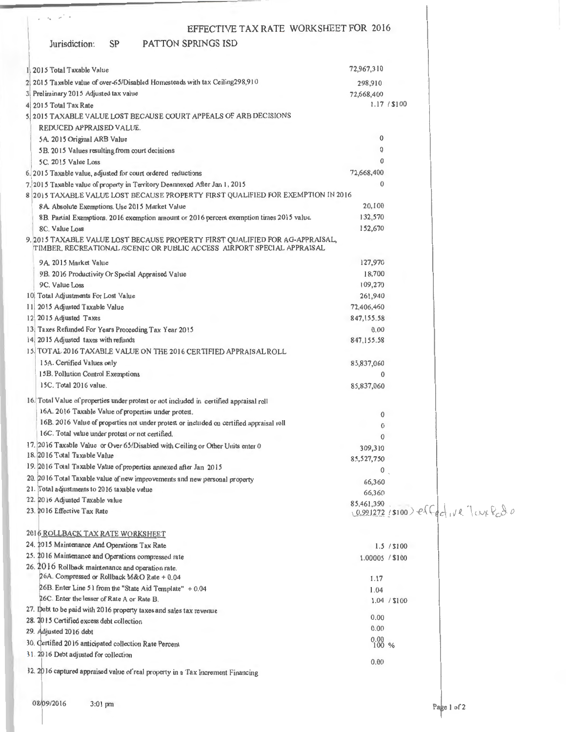| $\epsilon_{\rm N} = \mu \pi^+ \pi^-$                                                                                                                   |                      |              |                                              |
|--------------------------------------------------------------------------------------------------------------------------------------------------------|----------------------|--------------|----------------------------------------------|
| EFFECTIVE TAX RATE WORKSHEET FOR 2016                                                                                                                  |                      |              |                                              |
| <b>SP</b><br><b>PATTON SPRINGS ISD</b><br>Jurisdiction:                                                                                                |                      |              |                                              |
| 1. 2015 Total Taxable Value                                                                                                                            | 72,967,310           |              |                                              |
| 2 2015 Taxable value of over-65/Disabled Homesteads with tax Ceiling298,910                                                                            | 298,910              |              |                                              |
| 3 Preliminary 2015 Adjusted tax value                                                                                                                  | 72,668,400           |              |                                              |
| 4 2015 Total Tax Rate                                                                                                                                  |                      | 1.17 / \$100 |                                              |
| 5 2015 TAXABLE VALUE LOST BECAUSE COURT APPEALS OF ARB DECISIONS                                                                                       |                      |              |                                              |
| REDUCED APPRAISED VALUE.                                                                                                                               |                      |              |                                              |
| 5A. 2015 Original ARB Value                                                                                                                            | $\bf{0}$             |              |                                              |
| 5B. 2015 Values resulting from court decisions                                                                                                         | 0                    |              |                                              |
| 5C. 2015 Value Loss                                                                                                                                    | 0                    |              |                                              |
| 6.2015 Taxable value, adjusted for court ordered reductions                                                                                            | 72,668,400           |              |                                              |
| 7. 2015 Taxable value of property in Territory Deannexed After Jan 1, 2015                                                                             | $\mathbf{0}$         |              |                                              |
| 8 2015 TAXABLE VALUE LOST BECAUSE PROPERTY FIRST QUALIFIED FOR EXEMPTION IN 2016.                                                                      |                      |              |                                              |
| 8A. Absolute Exemptions. Use 2015 Market Value                                                                                                         | 20,100               |              |                                              |
| 8B. Partial Exemptions. 2016 exemption amount or 2016 percent exemption times 2015 value.                                                              | 132,570              |              |                                              |
| 8C. Value Loss                                                                                                                                         | 152,670              |              |                                              |
| 9.2015 TAXABLE VALUE LOST BECAUSE PROPERTY FIRST QUALIFIED FOR AG-APPRAISAL,<br>TIMBER, RECREATIONAL/SCENIC OR PUBLIC ACCESS AIRPORT SPECIAL APPRAISAL |                      |              |                                              |
| 9A 2015 Market Value                                                                                                                                   | 127,970              |              |                                              |
| 9B. 2016 Productivity Or Special Appraised Value                                                                                                       | 18,700               |              |                                              |
| 9C. Value Loss                                                                                                                                         | 109,270              |              |                                              |
| 10 Total Adjustments For Lost Value                                                                                                                    | 261,940              |              |                                              |
| 11 2015 Adjusted Taxable Value                                                                                                                         | 72,406,460           |              |                                              |
| 12 2015 Adjusted Taxes                                                                                                                                 | 847, 155.58<br>0.00  |              |                                              |
| 13. Taxes Refunded For Years Proceeding Tax Year 2015<br>14. 2015 Adjusted taxes with refunds                                                          | 847,155.58           |              |                                              |
| 15. TOTAL 2016 TAXABLE VALUE ON THE 2016 CERTIFIED APPRAISAL ROLL                                                                                      |                      |              |                                              |
| 15A. Certified Values only                                                                                                                             | 85,837,060           |              |                                              |
| 15B. Pollution Control Exemptions                                                                                                                      | $\mathbf{0}$         |              |                                              |
| 15C. Total 2016 value.                                                                                                                                 | 85,837,060           |              |                                              |
| 16. Total Value of properties under protest or not included in certified appraisal roll                                                                |                      |              |                                              |
| 16A. 2016 Taxable Value of properties under protest.                                                                                                   |                      |              |                                              |
| 16B. 2016 Value of properties not under protest or included on certified appraisal roll                                                                | 0<br>$\bf{0}$        |              |                                              |
| 16C. Total value under protest or not certified.                                                                                                       | $\mathbf{0}$         |              |                                              |
| 17. 2016 Taxable Value or Over 65/Disabled with Ceiling or Other Units enter 0                                                                         | 309,310              |              |                                              |
| 18. 2016 Total Taxable Value                                                                                                                           | 85,527,750           |              |                                              |
| 19. 2016 Total Taxable Value of properties annexed after Jan 2015                                                                                      | 0                    |              |                                              |
| 20. 2016 Total Taxable value of new improvements and new personal property                                                                             | 66,360               |              |                                              |
| 21. Total adjustments to 2016 taxable value                                                                                                            | 66,360               |              |                                              |
| 22. 2016 Adjusted Taxable value                                                                                                                        | 85,461,390           |              |                                              |
| 23. 2016 Effective Tax Rate                                                                                                                            |                      |              | $(0.991272 / $100)$ effect $vR$ lay $R_0A_0$ |
| 2016 ROLLBACK TAX RATE WORKSHEET                                                                                                                       |                      |              |                                              |
| 24. 2015 Maintenance And Operations Tax Rate                                                                                                           |                      | 1.5 / \$100  |                                              |
| 25. 2016 Maintenance and Operations compressed rate                                                                                                    | 1.00005 / \$100      |              |                                              |
| 26. 2016 Rollback maintenance and operation rate.                                                                                                      |                      |              |                                              |
| 26A. Compressed or Rollback M&O Rate + 0.04                                                                                                            | 1.17                 |              |                                              |
| 26B. Enter Line 51 from the "State Aid Template" + 0.04                                                                                                | 1.04                 |              |                                              |
| 26C. Enter the lesser of Rate A or Rate B.                                                                                                             |                      | 1.04 / \$100 |                                              |
| 27. Debt to be paid with 2016 property taxes and sales tax revenue                                                                                     | 0.00                 |              |                                              |
| 28. 2015 Certified excess debt collection                                                                                                              | 0.00                 |              |                                              |
| 29. Adjusted 2016 debt                                                                                                                                 |                      |              |                                              |
| 30. Certified 2016 anticipated collection Rate Percent                                                                                                 | $\frac{0.00}{100}$ % |              |                                              |
| 31. 2016 Debt adjusted for collection                                                                                                                  | 0.00                 |              |                                              |
| 32. 2016 captured appraised value of real property in a Tax Increment Financing                                                                        |                      |              |                                              |
|                                                                                                                                                        |                      |              |                                              |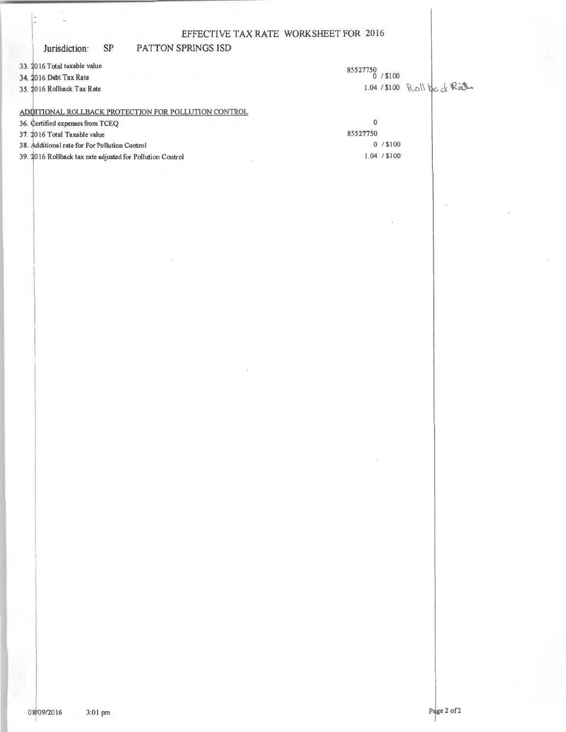#### Jurisdiction:  $SP$

PATTON SPRINGS ISD

33. 2016 Total taxable value

34. 2016 Debt Tax Rate

35. 2016 Rollback Tax Rate

85527750 / \$100 1.04 / \$100 Roll back Rate

# ADDITIONAL ROLLBACK PROTECTION FOR POLLUTION CONTROL

 $\overline{0}$ 36. Certified expenses from TCEQ 85527750 37. 2016 Total Taxable value  $0 / $100$ 38. Additional rate for For Pollution Control  $1.04 / $100$ 39. 2016 Rollback tax rate adjusted for Pollution Control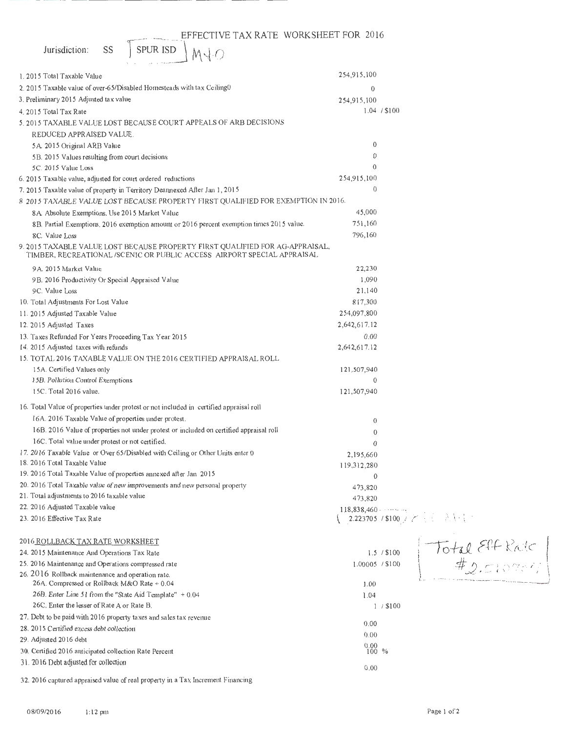| EFFECTIVE TAX RATE WORKSHEET FOR 2016<br><b>SPUR ISD</b><br>SS<br>Jurisdiction:                                                                          |                                                                                |  |
|----------------------------------------------------------------------------------------------------------------------------------------------------------|--------------------------------------------------------------------------------|--|
| M4 O                                                                                                                                                     |                                                                                |  |
| 1. 2015 Total Taxable Value                                                                                                                              | 254,915,100                                                                    |  |
| 2. 2015 Taxable value of over-65/Disabled Homesteads with tax Ceiling0                                                                                   | 0                                                                              |  |
| 3. Preliminary 2015 Adjusted tax value                                                                                                                   | 254,915,100                                                                    |  |
| 4. 2015 Total Tax Rate                                                                                                                                   | 1.04 / \$100                                                                   |  |
| 5. 2015 TAXABLE VALUE LOST BECAUSE COURT APPEALS OF ARB DECISIONS                                                                                        |                                                                                |  |
| REDUCED APPRAISED VALUE.                                                                                                                                 |                                                                                |  |
| 5A. 2015 Original ARB Value                                                                                                                              | 0                                                                              |  |
| 5B. 2015 Values resulting from court decisions                                                                                                           | 0                                                                              |  |
| 5C. 2015 Value Loss                                                                                                                                      | 0                                                                              |  |
| 6. 2015 Taxable value, adjusted for court ordered reductions                                                                                             | 254,915,100                                                                    |  |
| 7. 2015 Taxable value of property in Territory Deannexed After Jan 1, 2015                                                                               | $\theta$                                                                       |  |
| 8 2015 TAXABLE VALUE LOST BECAUSE PROPERTY FIRST QUALIFIED FOR EXEMPTION IN 2016.                                                                        |                                                                                |  |
| 8A. Absolute Exemptions. Use 2015 Market Value                                                                                                           | 45,000                                                                         |  |
| 8B. Partial Exemptions. 2016 exemption amount or 2016 percent exemption times 2015 value.                                                                | 751,160                                                                        |  |
| 8C. Value Loss                                                                                                                                           | 796,160                                                                        |  |
| 9. 2015 TAXABLE VALUE LOST BECAUSE PROPERTY FIRST QUALIFIED FOR AG-APPRAISAL,<br>TIMBER, RECREATIONAL /SCENIC OR PUBLIC ACCESS AIRPORT SPECIAL APPRAISAL |                                                                                |  |
| 9A. 2015 Market Value                                                                                                                                    | 22,230                                                                         |  |
| 9B. 2016 Productivity Or Special Appraised Value                                                                                                         | 1,090                                                                          |  |
| 9C. Value Loss                                                                                                                                           | 21,140                                                                         |  |
| 10. Total Adjustments For Lost Value                                                                                                                     | 817,300                                                                        |  |
| 11. 2015 Adjusted Taxable Value                                                                                                                          | 254,097,800                                                                    |  |
| 12. 2015 Adjusted Taxes                                                                                                                                  | 2,642,617.12                                                                   |  |
| 13. Taxes Refunded For Years Proceeding Tax Year 2015                                                                                                    | 0.00                                                                           |  |
| 14. 2015 Adjusted taxes with refunds                                                                                                                     | 2,642,617.12                                                                   |  |
| 15. TOTAL 2016 TAXABLE VALUE ON THE 2016 CERTIFIED APPRAISAL ROLL                                                                                        |                                                                                |  |
| 15A. Certified Values only                                                                                                                               | 121,507,940                                                                    |  |
| 15B. Pollution Control Exemptions                                                                                                                        | $\mathbf{0}$                                                                   |  |
| 15C. Total 2016 value.                                                                                                                                   | 121,507,940                                                                    |  |
| 16. Total Value of properties under protest or not included in certified appraisal roll                                                                  |                                                                                |  |
| 16A. 2016 Taxable Value of properties under protest.                                                                                                     | $\theta$                                                                       |  |
| 16B. 2016 Value of properties not under protest or included on certified appraisal roll                                                                  | $\theta$                                                                       |  |
| 16C. Total value under protest or not certified.                                                                                                         | $\theta$                                                                       |  |
| 17. 2016 Taxable Value or Over 65/Disabled with Ceiling or Other Units enter 0                                                                           | 2,195,660                                                                      |  |
| 18. 2016 Total Taxable Value                                                                                                                             | 119,312,280                                                                    |  |
| 19. 2016 Total Taxable Value of properties annexed after Jan 2015                                                                                        | 0                                                                              |  |
| 20. 2016 Total Taxable value of new improvements and new personal property                                                                               | 473,820                                                                        |  |
| 21. Total adjustments to 2016 taxable value                                                                                                              | 473,820                                                                        |  |
| 22. 2016 Adjusted Taxable value                                                                                                                          |                                                                                |  |
| 23. 2016 Effective Tax Rate                                                                                                                              | 2.223705 / \$100 $\frac{1}{2}$ / $\frac{1}{2}$ / $\frac{1}{2}$ / $\frac{1}{2}$ |  |
| 2016 ROLLBACK TAX RATE WORKSHEET                                                                                                                         |                                                                                |  |
| 24. 2015 Maintenance And Operations Tax Rate                                                                                                             | Total Eff Rate<br>1.5 / \$100                                                  |  |
| 25. 2016 Maintenance and Operations compressed rate                                                                                                      | 1.00005 / \$100                                                                |  |
| 26. 2016 Rollback maintenance and operation rate.<br>26A. Compressed or Rollback M&O Rate + 0.04                                                         | 1.00                                                                           |  |
| 26B. Enter Line 51 from the "State Aid Template" + 0.04                                                                                                  | 1.04                                                                           |  |
| 26C. Enter the lesser of Rate A or Rate B.                                                                                                               | $1/$ \$100                                                                     |  |
| 27. Debt to be paid with 2016 property taxes and sales tax revenue                                                                                       |                                                                                |  |
| 28. 2015 Certified excess debt collection                                                                                                                | 0.00                                                                           |  |
| 29. Adjusted 2016 debt                                                                                                                                   | 0.00                                                                           |  |
| 30. Certified 2016 anticipated collection Rate Percent                                                                                                   | $^{0.00}_{100}$ %                                                              |  |
| 31. 2016 Debt adjusted for collection                                                                                                                    |                                                                                |  |
|                                                                                                                                                          | 0.00                                                                           |  |

32. 2016 captured appraised value of real property in a Tax Increment Financing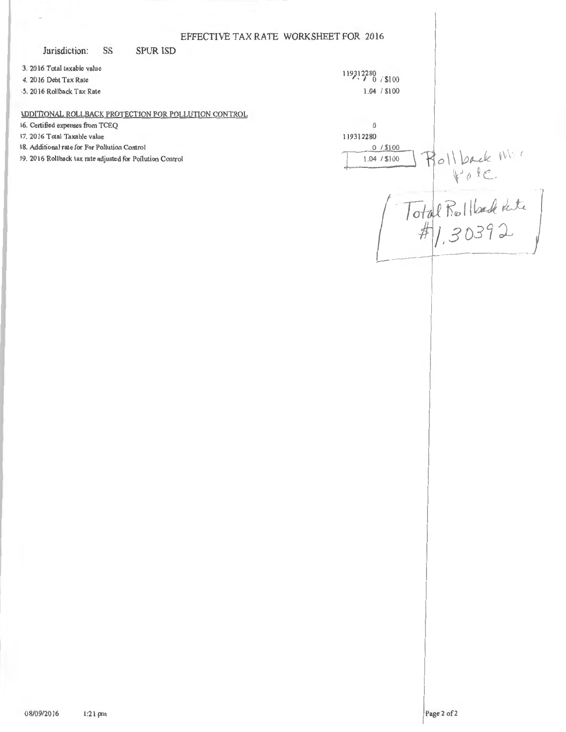|                                                                                   | EFFECTIVE TAX RATE WORKSHEET FOR 2016 |
|-----------------------------------------------------------------------------------|---------------------------------------|
| Jurisdiction:<br>SS<br><b>SPUR ISD</b>                                            |                                       |
| 3. 2016 Total taxable value<br>4. 2016 Debt Tax Rate<br>5. 2016 Rollback Tax Rate | $119312280$ / \$100<br>1.04 / \$100   |
| <b>IDDITIONAL ROLLBACK PROTECTION FOR POLLUTION CONTROL</b>                       |                                       |
| 16. Certified expenses from TCEQ                                                  | $\mathbf{0}$                          |
| 37. 2016 Total Taxable value                                                      | 119312280                             |
| 38. Additional rate for For Pollution Control                                     | $0/$ \$100                            |
| 39. 2016 Rollback tax rate adjusted for Pollution Control                         | I Dack Mi<br>1.04 / \$100             |
|                                                                                   |                                       |
|                                                                                   |                                       |
|                                                                                   |                                       |
|                                                                                   | ural nollade tate                     |
|                                                                                   |                                       |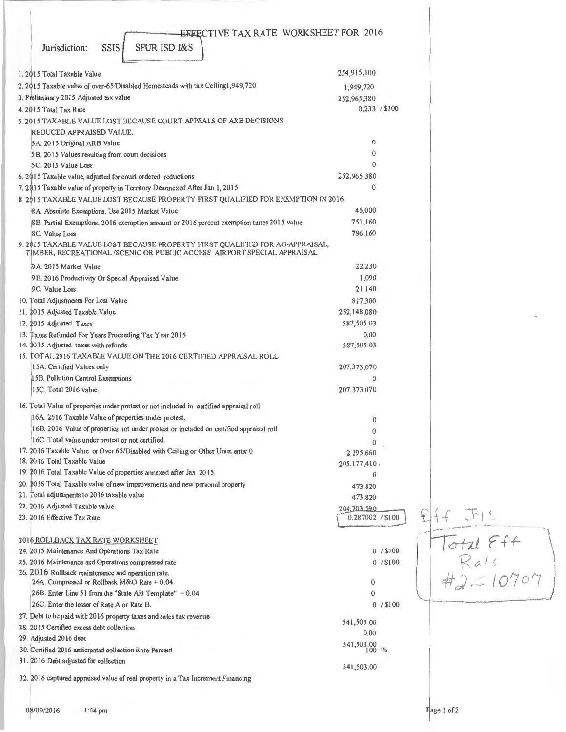| EFFECTIVE TAX RATE WORKSHEET FOR 2016                                                                                                                   |                          |               |                          |                                                                                |  |
|---------------------------------------------------------------------------------------------------------------------------------------------------------|--------------------------|---------------|--------------------------|--------------------------------------------------------------------------------|--|
| <b>SPUR ISD I&amp;S</b><br><b>SSIS</b><br>Jurisdiction:                                                                                                 |                          |               |                          |                                                                                |  |
| 1. 2015 Total Taxable Value                                                                                                                             | 254,915,100              |               |                          |                                                                                |  |
| 2. 2015 Taxable value of over-65/Disabled Homesteads with tax Ceiling1,949,720                                                                          | 1,949,720                |               |                          |                                                                                |  |
| 3. Preliminary 2015 Adjusted tax value                                                                                                                  | 252,965,380              |               |                          |                                                                                |  |
| 4. 2015 Total Tax Rate                                                                                                                                  |                          | 0.233 / \$100 |                          |                                                                                |  |
| 5, 2015 TAXABLE VALUE LOST BECAUSE COURT APPEALS OF ARB DECISIONS                                                                                       |                          |               |                          |                                                                                |  |
| REDUCED APPRAISED VALUE.                                                                                                                                |                          |               |                          |                                                                                |  |
| 5A. 2015 Original ARB Value                                                                                                                             | $\bf{0}$                 |               |                          |                                                                                |  |
| 5B. 2015 Values resulting from court decisions                                                                                                          | $\Omega$                 |               |                          |                                                                                |  |
| 5C. 2015 Value Loss                                                                                                                                     | 0                        |               |                          |                                                                                |  |
| 6. 2015 Taxable value, adjusted for court ordered reductions                                                                                            | 252,965,380              |               |                          |                                                                                |  |
| 7. 2015 Taxable value of property in Territory Deannexed After Jan 1, 2015                                                                              | $\Omega$                 |               |                          |                                                                                |  |
| 8 2015 TAXABLE VALUE LOST BECAUSE PROPERTY FIRST QUALIFIED FOR EXEMPTION IN 2016.                                                                       |                          |               |                          |                                                                                |  |
| 8A. Absolute Exemptions. Use 2015 Market Value                                                                                                          | 45,000                   |               |                          |                                                                                |  |
| 8B. Partial Exemptions. 2016 exemption amount or 2016 percent exemption times 2015 value.                                                               | 751,160                  |               |                          |                                                                                |  |
| 8C. Value Loss                                                                                                                                          | 796,160                  |               |                          |                                                                                |  |
| 9. 2015 TAXABLE VALUE LOST BECAUSE PROPERTY FIRST QUALIFIED FOR AG-APPRAISAL,<br>TIMBER, RECREATIONAL/SCENIC OR PUBLIC ACCESS AIRPORT SPECIAL APPRAISAL |                          |               |                          |                                                                                |  |
| 9A. 2015 Market Value                                                                                                                                   | 22,230                   |               |                          |                                                                                |  |
| 9B. 2016 Productivity Or Special Appraised Value                                                                                                        | 1,090                    |               |                          |                                                                                |  |
| 9C. Value Loss                                                                                                                                          | 21,140                   |               |                          |                                                                                |  |
| 10. Total Adjustments For Lost Value                                                                                                                    | 817,300                  |               |                          |                                                                                |  |
| 11. 2015 Adjusted Taxable Value                                                                                                                         | 252,148,080              |               |                          |                                                                                |  |
| 12. 2015 Adjusted Taxes                                                                                                                                 | 587,505.03               |               |                          |                                                                                |  |
| 13. Taxes Refunded For Years Proceeding Tax Year 2015                                                                                                   | 0.00                     |               |                          |                                                                                |  |
| 14. 2015 Adjusted taxes with refunds                                                                                                                    | 587,505.03               |               |                          |                                                                                |  |
| 15. TOTAL 2016 TAXABLE VALUE ON THE 2016 CERTIFIED APPRAISAL ROLL                                                                                       |                          |               |                          |                                                                                |  |
| 15A. Certified Values only                                                                                                                              | 207, 373, 070<br>0       |               |                          |                                                                                |  |
| 15B. Pollution Control Exemptions<br>15C. Total 2016 value.                                                                                             | 207, 373, 070            |               |                          |                                                                                |  |
|                                                                                                                                                         |                          |               |                          |                                                                                |  |
| 16. Total Value of properties under protest or not included in certified appraisal roll                                                                 |                          |               |                          |                                                                                |  |
| 16A. 2016 Taxable Value of properties under protest.                                                                                                    | $\bf{0}$                 |               |                          |                                                                                |  |
| 16B. 2016 Value of properties not under protest or included on certified appraisal roll                                                                 | $\mathbf{0}$             |               |                          |                                                                                |  |
| 16C. Total value under protest or not certified.                                                                                                        | 0                        |               |                          |                                                                                |  |
| 17. 2016 Taxable Value or Over 65/Disabled with Ceiling or Other Units enter 0                                                                          | 2,195,660                |               |                          |                                                                                |  |
| 18. 2016 Total Taxable Value<br>19. 2016 Total Taxable Value of properties annexed after Jan 2015                                                       | 205.177,410.             |               |                          |                                                                                |  |
| 20. 2016 Total Taxable value of new improvements and new personal property                                                                              | $\theta$                 |               |                          |                                                                                |  |
| 21. Total adjustments to 2016 taxable value                                                                                                             | 473,820                  |               |                          |                                                                                |  |
| 22. 2016 Adjusted Taxable value                                                                                                                         | 473,820<br>204, 703, 590 |               |                          |                                                                                |  |
| 23. 2016 Effective Tax Rate                                                                                                                             | 0.287002 / \$100         |               | $\overline{\mathcal{F}}$ |                                                                                |  |
| 2016 ROLLBACK TAX RATE WORKSHEET                                                                                                                        |                          |               |                          | $\begin{array}{l}\n\text{Total Eff} \\ \text{Rate} \\ \#2.510707\n\end{array}$ |  |
| 24. 2015 Maintenance And Operations Tax Rate                                                                                                            |                          | 0/ \$100      |                          |                                                                                |  |
| 25. 2016 Maintenance and Operations compressed rate                                                                                                     |                          | $0/$ \$100    |                          |                                                                                |  |
| 26. 2016 Rollback maintenance and operation rate.                                                                                                       |                          |               |                          |                                                                                |  |
| 26A. Compressed or Rollback M&O Rate + 0.04                                                                                                             | 0                        |               |                          |                                                                                |  |
| 26B. Enter Line 51 from the "State Aid Template" + 0.04                                                                                                 | $\mathbf 0$              |               |                          |                                                                                |  |
| 26C. Enter the lesser of Rate A or Rate B.                                                                                                              |                          | 0/ \$100      |                          |                                                                                |  |
| 27. Debt to be paid with 2016 property taxes and sales tax revenue                                                                                      | 541,503.00               |               |                          |                                                                                |  |
| 28. 2015 Certified excess debt collection                                                                                                               | 0.00                     |               |                          |                                                                                |  |
| 29. Adjusted 2016 debt                                                                                                                                  | 541,503.00 %             |               |                          |                                                                                |  |
| 30. Certified 2016 anticipated collection Rate Percent<br>31. 2016 Debt adjusted for collection                                                         |                          |               |                          |                                                                                |  |
|                                                                                                                                                         | 541,503.00               |               |                          |                                                                                |  |
| 32. 2016 captured appraised value of real property in a Tax Increment Financing                                                                         |                          |               |                          |                                                                                |  |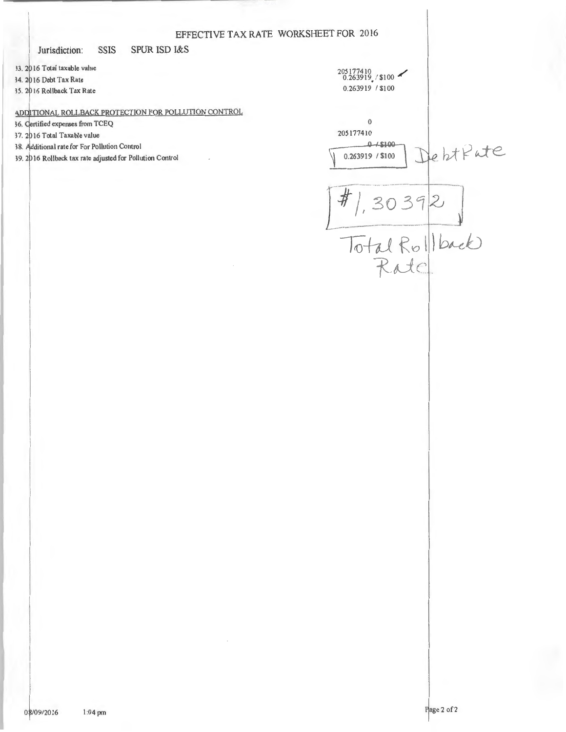Jurisdiction: **SSIS**  **SPUR ISD I&S** 

33. 2016 Total taxable value 34. 2016 Debt Tax Rate 35. 2016 Rollback Tax Rate

ADDITIONAL ROLLBACK PROTECTION FOR POLLUTION CONTROL

36. Certified expenses from TCEQ

37. 2016 Total Taxable value

38. Additional rate for For Pollution Control

39. 2016 Rollback tax rate adjusted for Pollution Control

 $205177410$ <br>0.263919./\$100  $0.263919 / $100$  $\theta$ 205177410  $0 + $100$ DehtPate 0.263919 / \$100  $\frac{\sqrt{\frac{4}{10}}}{\frac{104}{\pi}\text{dRe}}$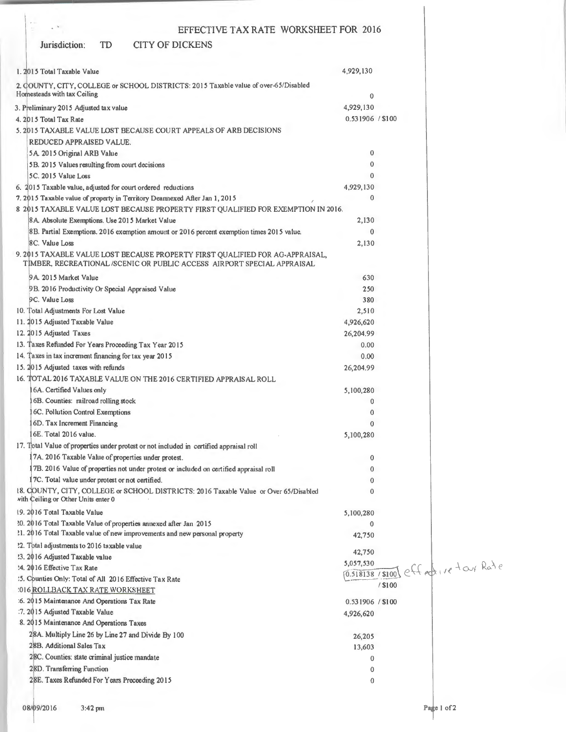#### Jurisdiction: TD CITY OF DICKENS

 $_{\star}$   $\vee$ 

| 1. 2015 Total Taxable Value                                                                                                                             | 4,929,130        |                                     |
|---------------------------------------------------------------------------------------------------------------------------------------------------------|------------------|-------------------------------------|
| 2. COUNTY, CITY, COLLEGE or SCHOOL DISTRICTS: 2015 Taxable value of over-65/Disabled<br>Homesteads with tax Ceiling                                     |                  |                                     |
|                                                                                                                                                         | 0                |                                     |
| 3. Preliminary 2015 Adjusted tax value                                                                                                                  | 4,929,130        |                                     |
| 4. 2015 Total Tax Rate                                                                                                                                  | 0.531906 / \$100 |                                     |
| 5. 2015 TAXABLE VALUE LOST BECAUSE COURT APPEALS OF ARB DECISIONS                                                                                       |                  |                                     |
| REDUCED APPRAISED VALUE.                                                                                                                                |                  |                                     |
| 5A 2015 Original ARB Value                                                                                                                              | $\bf{0}$         |                                     |
| 5B. 2015 Values resulting from court decisions                                                                                                          | 0                |                                     |
| 5C. 2015 Value Loss                                                                                                                                     | 0                |                                     |
| 6. 2015 Taxable value, adjusted for court ordered reductions                                                                                            | 4,929,130        |                                     |
| 7. 2015 Taxable value of property in Territory Deannexed After Jan 1, 2015                                                                              | 0                |                                     |
| 8 2015 TAXABLE VALUE LOST BECAUSE PROPERTY FIRST QUALIFIED FOR EXEMPTION IN 2016.                                                                       |                  |                                     |
| 8A. Absolute Exemptions. Use 2015 Market Value                                                                                                          | 2,130            |                                     |
| 8B. Partial Exemptions. 2016 exemption amount or 2016 percent exemption times 2015 value.                                                               | $\mathbf{0}$     |                                     |
| 8C. Value Loss                                                                                                                                          | 2,130            |                                     |
| 9. 2015 TAXABLE VALUE LOST BECAUSE PROPERTY FIRST QUALIFIED FOR AG-APPRAISAL,<br>TIMBER, RECREATIONAL/SCENIC OR PUBLIC ACCESS AIRPORT SPECIAL APPRAISAL |                  |                                     |
| 9A 2015 Market Value                                                                                                                                    | 630              |                                     |
| 9B. 2016 Productivity Or Special Appraised Value                                                                                                        | 250              |                                     |
| 9C. Value Loss                                                                                                                                          | 380              |                                     |
| 10. Total Adjustments For Lost Value                                                                                                                    | 2,510            |                                     |
| 11. 2015 Adjusted Taxable Value                                                                                                                         | 4,926,620        |                                     |
| 12. 2015 Adjusted Taxes                                                                                                                                 | 26,204.99        |                                     |
| 13. Taxes Refunded For Years Proceeding Tax Year 2015                                                                                                   | 0.00             |                                     |
| 14. Taxes in tax increment financing for tax year 2015                                                                                                  | 0.00             |                                     |
| 15. 2015 Adjusted taxes with refunds                                                                                                                    | 26,204.99        |                                     |
| 16. TOTAL 2016 TAXABLE VALUE ON THE 2016 CERTIFIED APPRAISAL ROLL                                                                                       |                  |                                     |
| 6A. Certified Values only                                                                                                                               |                  |                                     |
|                                                                                                                                                         | 5,100,280        |                                     |
| 6B. Counties: railroad rolling stock                                                                                                                    | 0                |                                     |
| 6C. Pollution Control Exemptions                                                                                                                        | $\theta$         |                                     |
| 6D. Tax Increment Financing                                                                                                                             | $\Omega$         |                                     |
| 6E. Total 2016 value.                                                                                                                                   | 5,100,280        |                                     |
| 17. Total Value of properties under protest or not included in certified appraisal roll                                                                 |                  |                                     |
| 7A. 2016 Taxable Value of properties under protest.                                                                                                     | 0                |                                     |
| 7B. 2016 Value of properties not under protest or included on certified appraisal roll                                                                  | 0                |                                     |
| 17C. Total value under protest or not certified.                                                                                                        | 0                |                                     |
| 18. COUNTY, CITY, COLLEGE or SCHOOL DISTRICTS: 2016 Taxable Value or Over 65/Disabled<br>with Ceiling or Other Units enter 0                            | 0                |                                     |
| 19. 2016 Total Taxable Value                                                                                                                            | 5,100,280        |                                     |
| 20. 2016 Total Taxable Value of properties annexed after Jan 2015                                                                                       | 0                |                                     |
| 11. 2016 Total Taxable value of new improvements and new personal property                                                                              | 42,750           |                                     |
| ?2. Total adjustments to 2016 taxable value                                                                                                             |                  |                                     |
| !3. 2016 Adjusted Taxable value                                                                                                                         | 42,750           |                                     |
| :4. 2016 Effective Tax Rate                                                                                                                             |                  | 0.518138/8100) eff ed. 1e tout Rate |
| :5. Counties Only: Total of All 2016 Effective Tax Rate                                                                                                 | / \$100          |                                     |
| :016 ROLLBACK TAX RATE WORKSHEET                                                                                                                        |                  |                                     |
| :6. 2015 Maintenance And Operations Tax Rate                                                                                                            | 0.531906 / \$100 |                                     |
| :7. 2015 Adjusted Taxable Value                                                                                                                         | 4,926,620        |                                     |
| 8. 2015 Maintenance And Operations Taxes                                                                                                                |                  |                                     |
| 28A. Multiply Line 26 by Line 27 and Divide By 100                                                                                                      | 26,205           |                                     |
| 28B. Additional Sales Tax                                                                                                                               | 13,603           |                                     |
| 28C. Counties: state criminal justice mandate                                                                                                           | 0                |                                     |
| 28D. Transferring Function                                                                                                                              | 0                |                                     |
| 28E. Taxes Refunded For Years Preceeding 2015                                                                                                           | $\mathbf 0$      |                                     |
|                                                                                                                                                         |                  |                                     |
|                                                                                                                                                         |                  |                                     |
| 08/09/2016<br>$3:42 \text{ pm}$                                                                                                                         |                  | Page 1 of 2                         |
|                                                                                                                                                         |                  |                                     |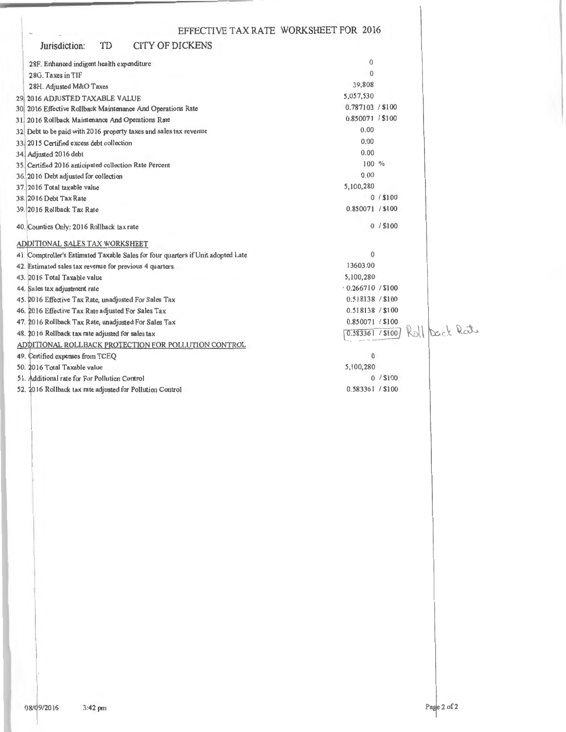| TD<br><b>CITY OF DICKENS</b><br>Jurisdiction:                                    |                  |                |
|----------------------------------------------------------------------------------|------------------|----------------|
| 28F. Enhanced indigent health expenditure                                        | $\mathbf{0}$     |                |
| 28G. Taxes in TIF                                                                | $\mathbf{0}$     |                |
| 28H. Adjusted M&O Taxes                                                          | 39,808           |                |
| 29 2016 ADJUSTED TAXABLE VALUE                                                   | 5,057,530        |                |
| 30 2016 Effective Rollback Maintenance And Operations Rate                       | 0.787103 / \$100 |                |
| 31 2016 Rollback Maintenance And Operations Rate                                 | 0.850071 / \$100 |                |
| 32. Debt to be paid with 2016 property taxes and sales tax revenue               | 0.00             |                |
| 33. 2015 Certified excess debt collection                                        | 0.00             |                |
| 34. Adjusted 2016 debt                                                           | 0.00             |                |
| 35. Certified 2016 anticipated collection Rate Percent                           | 100 %            |                |
| 36. 2016 Debt adjusted for collection                                            | 0.00             |                |
| 37. 2016 Total taxable value                                                     | 5,100,280        |                |
| 38. 2016 Debt Tax Rate                                                           |                  | $0/$ \$100     |
| 39. 2016 Rollback Tax Rate                                                       | 0.850071 / \$100 |                |
| 40. Counties Only: 2016 Rollback tax rate                                        |                  | 0/\$100        |
| ADDITIONAL SALES TAX WORKSHEET                                                   |                  |                |
| 41. Comptroller's Estimated Taxable Sales for four quarters if Unit adopted Late | $\mathbf{0}$     |                |
| 42. Estimated sales tax revenue for previous 4 quarters.                         | 13603.00         |                |
| 43. 2016 Total Taxable value                                                     | 5,100,280        |                |
| 44. Sales tax adjustment rate                                                    | 0.266710 / \$100 |                |
| 45. 2016 Effective Tax Rate, unadjusted For Sales Tax                            | 0.518138 / \$100 |                |
| 46. 2016 Effective Tax Rate adjusted For Sales Tax                               | 0.518138 / \$100 |                |
| 47. 2016 Rollback Tax Rate, unadjusted For Sales Tax                             | 0.850071 / \$100 |                |
| 48. 2016 Rollback tax rate adjusted for sales tax                                | 0.583361 / \$100 | Roll Dack Rats |
| ADDITIONAL ROLLBACK PROTECTION FOR POLLUTION CONTROL                             |                  |                |
| 49. Certified expenses from TCEQ                                                 | $\mathbf{0}$     |                |
| 50. 2016 Total Taxable value                                                     | 5,100,280        |                |
| 51. Additional rate for For Pollution Control                                    |                  | 0/ \$100       |
| 52 2016 Rollback tax rate adjusted for Pollution Control                         | 0.583361 / \$100 |                |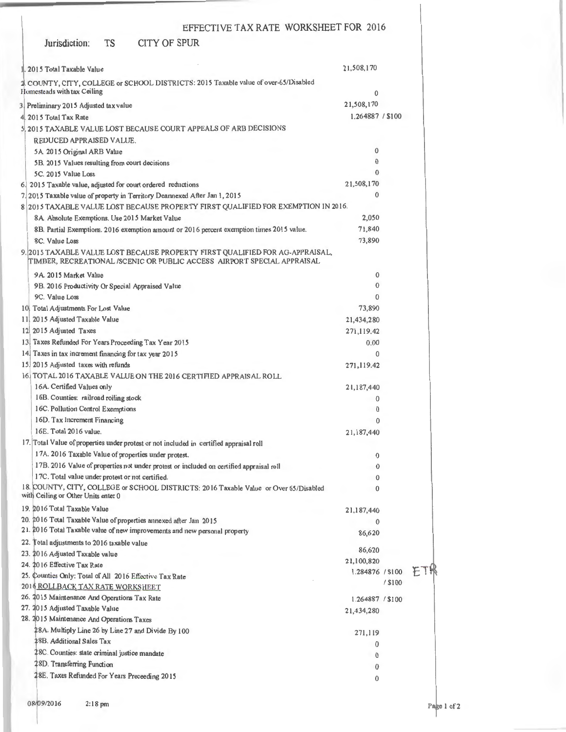| Jurisdiction:                                                               | <b>TS</b> | CITY OF SPUR                                                                                                                                             |                                |         |            |
|-----------------------------------------------------------------------------|-----------|----------------------------------------------------------------------------------------------------------------------------------------------------------|--------------------------------|---------|------------|
| 1.2015 Total Taxable Value                                                  |           |                                                                                                                                                          | 21,508,170                     |         |            |
|                                                                             |           | 2. COUNTY, CITY, COLLEGE or SCHOOL DISTRICTS: 2015 Taxable value of over-65/Disabled                                                                     |                                |         |            |
| Homesteads with tax Ceiling                                                 |           |                                                                                                                                                          | $\bf{0}$                       |         |            |
| 3 Preliminary 2015 Adjusted tax value                                       |           |                                                                                                                                                          | 21,508,170                     |         |            |
| 4 2015 Total Tax Rate                                                       |           |                                                                                                                                                          | 1.264887 / \$100               |         |            |
| 5 2015 TAXABLE VALUE LOST BECAUSE COURT APPEALS OF ARB DECISIONS            |           |                                                                                                                                                          |                                |         |            |
| REDUCED APPRAISED VALUE.                                                    |           |                                                                                                                                                          |                                |         |            |
| 5A 2015 Original ARB Value                                                  |           |                                                                                                                                                          | 0                              |         |            |
| 5B. 2015 Values resulting from court decisions                              |           |                                                                                                                                                          | $\bf{0}$                       |         |            |
| 5C. 2015 Value Loss                                                         |           |                                                                                                                                                          | $\Omega$                       |         |            |
|                                                                             |           | 6. 2015 Taxable value, adjusted for court ordered reductions                                                                                             | 21,508,170                     |         |            |
|                                                                             |           | 7. 2015 Taxable value of property in Territory Deannexed After Jan 1, 2015                                                                               | $\Omega$                       |         |            |
|                                                                             |           | 8 2015 TAXABLE VALUE LOST BECAUSE PROPERTY FIRST QUALIFIED FOR EXEMPTION IN 2016.                                                                        |                                |         |            |
| 8A Absolute Exemptions. Use 2015 Market Value                               |           |                                                                                                                                                          | 2,050                          |         |            |
|                                                                             |           | 8B. Partial Exemptions. 2016 exemption amount or 2016 percent exemption times 2015 value.                                                                | 71,840                         |         |            |
| 8C. Value Loss                                                              |           |                                                                                                                                                          | 73,890                         |         |            |
|                                                                             |           | 9. 2015 TAXABLE VALUE LOST BECAUSE PROPERTY FIRST QUALIFIED FOR AG-APPRAISAL,<br>TIMBER, RECREATIONAL /SCENIC OR PUBLIC ACCESS AIRPORT SPECIAL APPRAISAL |                                |         |            |
| 9A 2015 Market Value                                                        |           |                                                                                                                                                          | $\mathbf 0$                    |         |            |
| 9B. 2016 Productivity Or Special Appraised Value                            |           |                                                                                                                                                          | $\mathbf{0}$                   |         |            |
| 9C. Value Loss                                                              |           |                                                                                                                                                          | 0                              |         |            |
| 10 Total Adjustments For Lost Value                                         |           |                                                                                                                                                          | 73,890                         |         |            |
| 11 2015 Adjusted Taxable Value                                              |           |                                                                                                                                                          | 21,434,280                     |         |            |
| 12 2015 Adjusted Taxes                                                      |           |                                                                                                                                                          | 271,119.42                     |         |            |
| 13 Taxes Refunded For Years Proceeding Tax Year 2015                        |           |                                                                                                                                                          | 0.00                           |         |            |
| 14 Taxes in tax increment financing for tax year 2015                       |           |                                                                                                                                                          | 0                              |         |            |
| 15. 2015 Adjusted taxes with refunds                                        |           |                                                                                                                                                          | 271,119.42                     |         |            |
|                                                                             |           | 16 TOTAL 2016 TAXABLE VALUE ON THE 2016 CERTIFIED APPRAISAL ROLL                                                                                         |                                |         |            |
| 16A. Certified Values only                                                  |           |                                                                                                                                                          | 21,187,440                     |         |            |
| 16B. Counties: railroad rolling stock                                       |           |                                                                                                                                                          | 0                              |         |            |
| 16C. Pollution Control Exemptions                                           |           |                                                                                                                                                          | $\mathbf{0}$<br>$\mathbf{0}$   |         |            |
| 16D. Tax Increment Financing<br>16E. Total 2016 value.                      |           |                                                                                                                                                          |                                |         |            |
|                                                                             |           | 17. Total Value of properties under protest or not included in certified appraisal roll                                                                  | 21,187,440                     |         |            |
|                                                                             |           | 17A. 2016 Taxable Value of properties under protest.                                                                                                     | 0                              |         |            |
|                                                                             |           | 17B. 2016 Value of properties not under protest or included on certified appraisal roll                                                                  | 0                              |         |            |
| 17C. Total value under protest or not certified.                            |           |                                                                                                                                                          | 0                              |         |            |
| with Ceiling or Other Units enter 0                                         |           | 18. COUNTY, CITY, COLLEGE or SCHOOL DISTRICTS: 2016 Taxable Value or Over 65/Disabled                                                                    | 0                              |         |            |
| 19. 2016 Total Taxable Value                                                |           |                                                                                                                                                          | 21,187,440                     |         |            |
|                                                                             |           | 20. 2016 Total Taxable Value of properties annexed after Jan 2015                                                                                        | $\mathbf{0}$                   |         |            |
|                                                                             |           | 21. 2016 Total Taxable value of new improvements and new personal property                                                                               | 86,620                         |         |            |
| 22. Total adjustments to 2016 taxable value                                 |           |                                                                                                                                                          |                                |         |            |
| 23. 2016 Adjusted Taxable value                                             |           |                                                                                                                                                          | 86,620                         |         |            |
| 24. 2016 Effective Tax Rate                                                 |           |                                                                                                                                                          | 21,100,820<br>1.284876 / \$100 |         | <b>ET!</b> |
| 25. Counties Only: Total of All 2016 Effective Tax Rate                     |           |                                                                                                                                                          |                                | / \$100 |            |
| 2016 ROLLBACK, TAX RATE WORKSHEET                                           |           |                                                                                                                                                          |                                |         |            |
| 26. 2015 Maintenance And Operations Tax Rate                                |           |                                                                                                                                                          | 1.264887 / \$100               |         |            |
| 27. 2015 Adjusted Taxable Value                                             |           |                                                                                                                                                          | 21,434,280                     |         |            |
| 28. 2015 Maintenance And Operations Taxes                                   |           |                                                                                                                                                          |                                |         |            |
| 28B. Additional Sales Tax                                                   |           | 28A. Multiply Line 26 by Line 27 and Divide By 100                                                                                                       | 271,119                        |         |            |
|                                                                             |           |                                                                                                                                                          | $\Omega$                       |         |            |
| 28C. Counties: state criminal justice mandate<br>28D. Transferring Function |           |                                                                                                                                                          | $\mathbf 0$                    |         |            |
|                                                                             |           |                                                                                                                                                          | 0                              |         |            |
| 28E. Taxes Refunded For Years Preceeding 2015                               |           |                                                                                                                                                          | 0                              |         |            |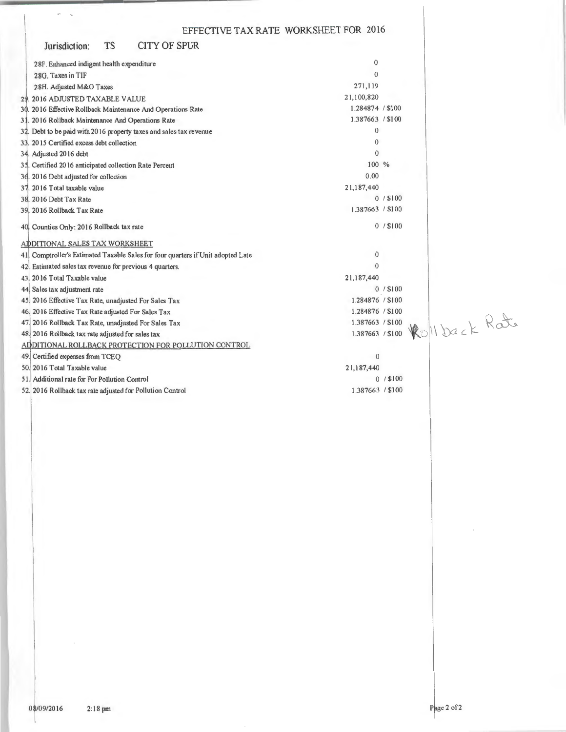|                                                                                 | EFFECTIVE TAX RATE WORKSHEET FOR 2016 |            |               |  |
|---------------------------------------------------------------------------------|---------------------------------------|------------|---------------|--|
| <b>CITY OF SPUR</b><br><b>TS</b><br>Jurisdiction:                               |                                       |            |               |  |
| 28F. Enhanced indigent health expenditure                                       | $\Omega$                              |            |               |  |
| 28G. Taxes in TIF                                                               | $\theta$                              |            |               |  |
| 28H. Adjusted M&O Taxes                                                         | 271,119                               |            |               |  |
| 29. 2016 ADJUSTED TAXABLE VALUE                                                 | 21,100,820                            |            |               |  |
| 30. 2016 Effective Rollback Maintenance And Operations Rate                     | 1.284874 / \$100                      |            |               |  |
| 31. 2016 Rollback Maintenance And Operations Rate                               | 1.387663 / \$100                      |            |               |  |
| 32. Debt to be paid with 2016 property taxes and sales tax revenue              | $\mathbf{0}$                          |            |               |  |
| 33. 2015 Certified excess debt collection                                       | $\mathbf{0}$                          |            |               |  |
| 34. Adjusted 2016 debt                                                          | $\theta$                              |            |               |  |
| 35. Certified 2016 anticipated collection Rate Percent                          | 100 %                                 |            |               |  |
| 3d. 2016 Debt adjusted for collection                                           | 0.00                                  |            |               |  |
| 37. 2016 Total taxable value                                                    | 21,187,440                            |            |               |  |
| 38. 2016 Debt Tax Rate                                                          |                                       | 0/ \$100   |               |  |
| 39. 2016 Rollback Tax Rate                                                      | 1.387663 / \$100                      |            |               |  |
| 40, Counties Only: 2016 Rollback tax rate                                       |                                       | $0/$ \$100 |               |  |
| ADDITIONAL SALES TAX WORKSHEET                                                  |                                       |            |               |  |
| 41 Comptroller's Estimated Taxable Sales for four quarters if Unit adopted Late | $\Omega$                              |            |               |  |
| 42 Estimated sales tax revenue for previous 4 quarters.                         | $\Omega$                              |            |               |  |
| 43 2016 Total Taxable value                                                     | 21,187,440                            |            |               |  |
| 44 Sales tax adjustment rate                                                    |                                       | 0/\$100    |               |  |
| 45 2016 Effective Tax Rate, unadjusted For Sales Tax                            | 1.284876 / \$100                      |            |               |  |
| 46, 2016 Effective Tax Rate adjusted For Sales Tax                              | 1.284876 / \$100                      |            |               |  |
| 47. 2016 Rollback Tax Rate, unadjusted For Sales Tax                            | 1.387663 / \$100                      |            | Rollback Rate |  |
| 48. 2016 Rollback tax rate adjusted for sales tax                               | 1.387663 / \$100                      |            |               |  |
| ADDITIONAL ROLLBACK PROTECTION FOR POLLUTION CONTROL                            |                                       |            |               |  |
| 49. Certified expenses from TCEQ                                                | $\mathbf{0}$                          |            |               |  |
| 50. 2016 Total Taxable value                                                    | 21,187,440                            |            |               |  |
| 51. Additional rate for For Pollution Control                                   |                                       | $0/$ \$100 |               |  |
| 52.2016 Rollback tax rate adjusted for Pollution Control                        | 1.387663 / \$100                      |            |               |  |

 $\sim$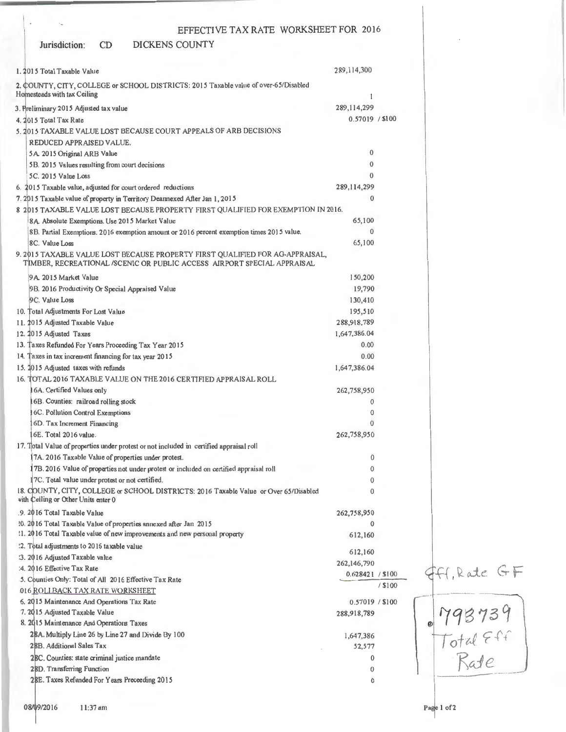#### Jurisdiction: CD DICKENS COUNTY

| 1. 2015 Total Taxable Value                                                                                                                                     | 289,114,300      |           |                             |
|-----------------------------------------------------------------------------------------------------------------------------------------------------------------|------------------|-----------|-----------------------------|
| 2. COUNTY, CITY, COLLEGE or SCHOOL DISTRICTS: 2015 Taxable value of over-65/Disabled                                                                            |                  |           |                             |
| Homesteads with tax Ceiling                                                                                                                                     | 1                |           |                             |
| 3. Preliminary 2015 Adjusted tax value                                                                                                                          | 289, 114, 299    |           |                             |
| 4. 2015 Total Tax Rate                                                                                                                                          | 0.57019 / \$100  |           |                             |
| 5. 2015 TAXABLE VALUE LOST BECAUSE COURT APPEALS OF ARB DECISIONS                                                                                               |                  |           |                             |
| REDUCED APPRAISED VALUE.                                                                                                                                        |                  |           |                             |
| 5A. 2015 Original ARB Value                                                                                                                                     | 0                |           |                             |
| 5B. 2015 Values resulting from court decisions                                                                                                                  | 0                |           |                             |
| 5C. 2015 Value Loss                                                                                                                                             | $\Omega$         |           |                             |
|                                                                                                                                                                 | 289, 114, 299    |           |                             |
| 6. 2015 Taxable value, adjusted for court ordered reductions                                                                                                    | $\Omega$         |           |                             |
| 7. 2015 Taxable value of property in Territory Deannexed After Jan 1, 2015<br>8 2015 TAXABLE VALUE LOST BECAUSE PROPERTY FIRST QUALIFIED FOR EXEMPTION IN 2016. |                  |           |                             |
|                                                                                                                                                                 | 65,100           |           |                             |
| 8A. Absolute Exemptions. Use 2015 Market Value                                                                                                                  | $\Omega$         |           |                             |
| 8B. Partial Exemptions. 2016 exemption amount or 2016 percent exemption times 2015 value.<br>8C. Value Loss                                                     | 65,100           |           |                             |
|                                                                                                                                                                 |                  |           |                             |
| 9. 2015 TAXABLE VALUE LOST BECAUSE PROPERTY FIRST QUALIFIED FOR AG-APPRAISAL,<br>TIMBER, RECREATIONAL /SCENIC OR PUBLIC ACCESS AIRPORT SPECIAL APPRAISAL        |                  |           |                             |
| 9A 2015 Market Value                                                                                                                                            | 150,200          |           |                             |
| 9B. 2016 Productivity Or Special Appraised Value                                                                                                                | 19,790           |           |                             |
| 9C. Value Loss                                                                                                                                                  | 130,410          |           |                             |
| 10. Total Adjustments For Lost Value                                                                                                                            | 195,510          |           |                             |
| 11. 2015 Adjusted Taxable Value                                                                                                                                 | 288,918,789      |           |                             |
| 12. 2015 Adjusted Taxes                                                                                                                                         | 1,647,386.04     |           |                             |
| 13. Taxes Refunded For Years Proceeding Tax Year 2015                                                                                                           | 0.00             |           |                             |
| 14. Taxes in tax increment financing for tax year 2015                                                                                                          | 0.00             |           |                             |
| 15. 2015 Adjusted taxes with refunds                                                                                                                            | 1,647,386.04     |           |                             |
| 16. TOTAL 2016 TAXABLE VALUE ON THE 2016 CERTIFIED APPRAISAL ROLL                                                                                               |                  |           |                             |
| 16A. Certified Values only                                                                                                                                      | 262,758,950      |           |                             |
| 16B. Counties: railroad rolling stock                                                                                                                           | 0                |           |                             |
| <b>16C. Pollution Control Exemptions</b>                                                                                                                        | 0                |           |                             |
| 6D. Tax Increment Financing                                                                                                                                     | 0                |           |                             |
| 6E. Total 2016 value.                                                                                                                                           | 262,758,950      |           |                             |
| 17. Total Value of properties under protest or not included in certified appraisal roll                                                                         |                  |           |                             |
| 17A. 2016 Taxable Value of properties under protest.                                                                                                            | 0                |           |                             |
| 17B. 2016 Value of properties not under protest or included on certified appraisal roll                                                                         | 0                |           |                             |
| [7C. Total value under protest or not certified.                                                                                                                | 0                |           |                             |
| 18. COUNTY, CITY, COLLEGE or SCHOOL DISTRICTS: 2016 Taxable Value or Over 65/Disabled<br>with Ceiling or Other Units enter 0                                    | $\mathbf{0}$     |           |                             |
| .9. 2016 Total Taxable Value                                                                                                                                    | 262,758,950      |           |                             |
| 10. 2016 Total Taxable Value of properties annexed after Jan 2015                                                                                               | $\bf{0}$         |           |                             |
| !1. 2016 Total Taxable value of new improvements and new personal property                                                                                      | 612,160          |           |                             |
| :2. Total adjustments to 2016 taxable value                                                                                                                     |                  |           |                             |
| :3. 2016 Adjusted Taxable value                                                                                                                                 | 612,160          |           |                             |
| :4. 2016 Effective Tax Rate                                                                                                                                     | 262,146,790      |           | Ff, Rate GF                 |
| .5. Counties Only: Total of All 2016 Effective Tax Rate                                                                                                         | 0.628421 / \$100 |           |                             |
| 016 ROLLB ACK TAN RATE WORKSHEET                                                                                                                                |                  | $/$ \$100 |                             |
| 6. 2015 Maintenance And Operations Tax Rate                                                                                                                     | 0.57019 / \$100  |           |                             |
| 7. 2015 Adjusted Taxable Value                                                                                                                                  | 288,918,789      |           |                             |
| 8. 2015 Maintenance And Operations Taxes                                                                                                                        |                  |           |                             |
| 28A. Multiply Line 26 by Line 27 and Divide By 100                                                                                                              | 1,647,386        |           |                             |
| 28B. Additional Sales Tax                                                                                                                                       | 52,577           |           |                             |
| 2BC. Counties: state criminal justice mandate                                                                                                                   | $\mathbf{0}$     |           | 193739<br>Total Eff<br>Rate |
| 28D. Transferring Function                                                                                                                                      | $\mathbf{0}$     |           |                             |
| 28E. Taxes Refunded For Years Preceeding 2015                                                                                                                   | 0                |           |                             |
|                                                                                                                                                                 |                  |           |                             |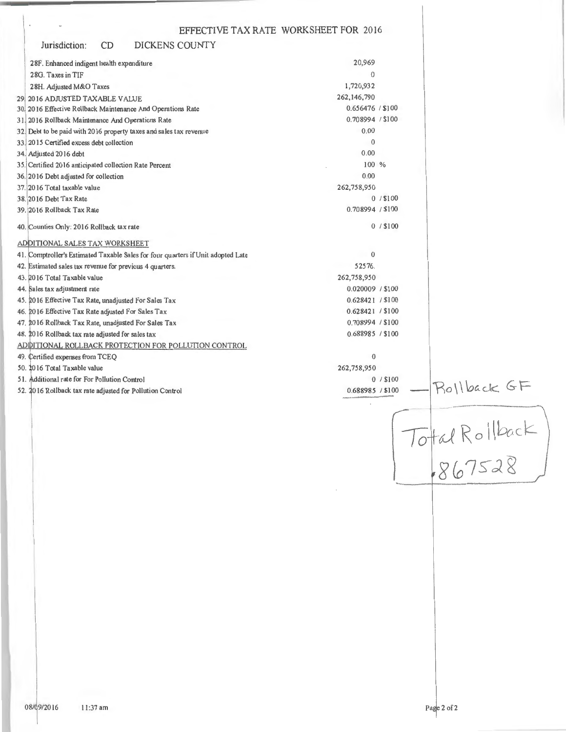| EFFECTIVE TAX RATE WORKSHEET FOR 2016                                            |                  |                |
|----------------------------------------------------------------------------------|------------------|----------------|
| CD<br>DICKENS COUNTY<br>Jurisdiction:                                            |                  |                |
| 28F. Enhanced indigent health expenditure                                        | 20,969           |                |
| 28G. Taxes in TIF                                                                | $\Omega$         |                |
| 28H. Adjusted M&O Taxes                                                          | 1,720,932        |                |
| 29 2016 ADJUSTED TAXABLE VALUE                                                   | 262,146,790      |                |
| 30, 2016 Effective Rollback Maintenance And Operations Rate                      | 0.656476 / \$100 |                |
| 31. 2016 Rollback Maintenance And Operations Rate                                | 0.708994 / \$100 |                |
| 32. Debt to be paid with 2016 property taxes and sales tax revenue               | 0.00             |                |
| 33. 2015 Certified excess debt collection                                        | $\overline{0}$   |                |
| 34. Adjusted 2016 debt                                                           | 0.00             |                |
| 35. Certified 2016 anticipated collection Rate Percent                           | 100 %            |                |
| 36. 2016 Debt adjusted for collection                                            | 0.00             |                |
| 37. 2016 Total taxable value                                                     | 262,758,950      |                |
| 38. 2016 Debt Tax Rate                                                           | 0/ \$100         |                |
| 39. 2016 Rollback Tax Rate                                                       | 0.708994 / \$100 |                |
|                                                                                  |                  |                |
| 40. Counties Only: 2016 Rollback tax rate                                        | $0/$ \$100       |                |
| ADDITIONAL SALES TAX WORKSHEET                                                   | $\theta$         |                |
| 41. Comptroller's Estimated Taxable Sales for four quarters if Unit adopted Late |                  |                |
| 42. Estimated sales tax revenue for previous 4 quarters.                         | 52576.           |                |
| 43. 2016 Total Taxable value                                                     | 262,758,950      |                |
| 44. Sales tax adjustment rate                                                    | 0.020009 / \$100 |                |
| 45. 2016 Effective Tax Rate, unadjusted For Sales Tax                            | 0.628421 / \$100 |                |
| 46. 2016 Effective Tax Rate adjusted For Sales Tax                               | 0.628421 / \$100 |                |
| 47. 2016 Rollback Tax Rate, unadjusted For Sales Tax                             | 0.708994 / \$100 |                |
| 48. 2016 Rollback tax rate adjusted for sales tax                                | 0.688985 / \$100 |                |
| ADDITIONAL ROLLBACK PROTECTION FOR POLLUTION CONTROL                             |                  |                |
| 49. Certified expenses from TCEQ                                                 | $\overline{0}$   |                |
| 50. 2016 Total Taxable value                                                     | 262,758,950      |                |
| 51. Additional rate for For Pollution Control                                    | 0/ \$100         | Rollback GF    |
| 52. 2016 Rollback tax rate adjusted for Pollution Control                        | 0.688985 / \$100 |                |
|                                                                                  |                  |                |
|                                                                                  |                  |                |
|                                                                                  |                  |                |
|                                                                                  |                  |                |
|                                                                                  |                  |                |
|                                                                                  |                  | Total Rollback |
|                                                                                  |                  |                |
|                                                                                  |                  |                |
|                                                                                  |                  |                |
|                                                                                  |                  |                |
|                                                                                  |                  |                |
|                                                                                  |                  |                |
|                                                                                  |                  |                |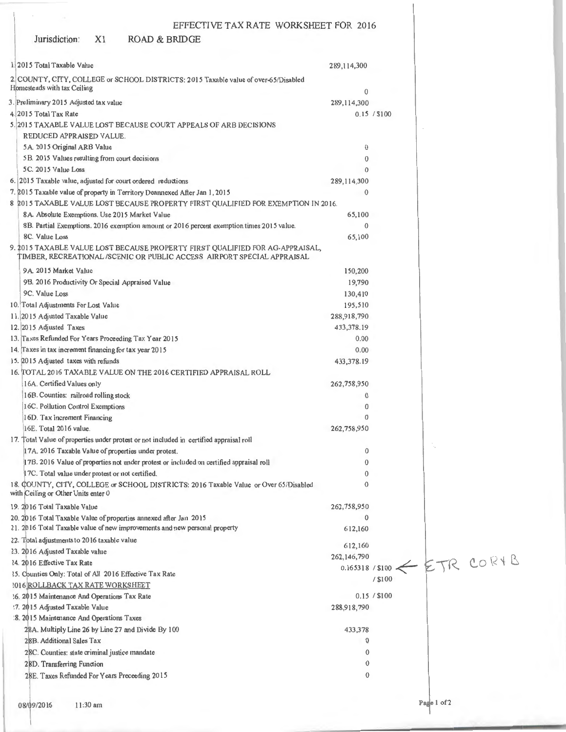# Jurisdiction: X1 ROAD & BRIDGE

 $\sim$ 

| 1.2015 Total Taxable Value                                                                                                                              | 289,114,300   |              |             |                             |
|---------------------------------------------------------------------------------------------------------------------------------------------------------|---------------|--------------|-------------|-----------------------------|
| 2 COUNTY, CITY, COLLEGE or SCHOOL DISTRICTS: 2015 Taxable value of over-65/Disabled                                                                     |               |              |             |                             |
| Homesteads with tax Ceiling                                                                                                                             | 0             |              |             |                             |
| 3. Preliminary 2015 Adjusted tax value                                                                                                                  | 289,114,300   |              |             |                             |
| 4. 2015 Total Tax Rate                                                                                                                                  |               | 0.15 / \$100 |             |                             |
| 5.2015 TAXABLE VALUE LOST BECAUSE COURT APPEALS OF ARB DECISIONS                                                                                        |               |              |             |                             |
| REDUCED APPRAISED VALUE.                                                                                                                                |               |              |             |                             |
| 5A. 2015 Original ARB Value                                                                                                                             | 0             |              |             |                             |
| 5B. 2015 Values resulting from court decisions                                                                                                          | $\bf{0}$      |              |             |                             |
| 5C. 2015 Value Loss                                                                                                                                     | $\theta$      |              |             |                             |
| 6. 2015 Taxable value, adjusted for court ordered reductions                                                                                            | 289, 114, 300 |              |             |                             |
| 7. 2015 Taxable value of property in Territory Deannexed After Jan 1, 2015                                                                              | $\theta$      |              |             |                             |
| 8 2015 TAXABLE VALUE LOST BECAUSE PROPERTY FIRST QUALIFIED FOR EXEMPTION IN 2016.                                                                       |               |              |             |                             |
| 8A. Absolute Exemptions. Use 2015 Market Value                                                                                                          | 65,100        |              |             |                             |
| 8B. Partial Exemptions. 2016 exemption amount or 2016 percent exemption times 2015 value.                                                               | $\theta$      |              |             |                             |
| 8C. Value Loss                                                                                                                                          | 65,100        |              |             |                             |
| 9. 2015 TAXABLE VALUE LOST BECAUSE PROPERTY FIRST QUALIFIED FOR AG-APPRAISAL,<br>TIMBER, RECREATIONAL/SCENIC OR PUBLIC ACCESS AIRPORT SPECIAL APPRAISAL |               |              |             |                             |
| 9A 2015 Market Value                                                                                                                                    | 150,200       |              |             |                             |
| 9B. 2016 Productivity Or Special Appraised Value                                                                                                        | 19,790        |              |             |                             |
| 9C. Value Loss                                                                                                                                          | 130,410       |              |             |                             |
| 10. Total Adjustments For Lost Value                                                                                                                    | 195,510       |              |             |                             |
| 11. 2015 Adjusted Taxable Value                                                                                                                         | 288,918,790   |              |             |                             |
| 12. 2015 Adjusted Taxes                                                                                                                                 | 433,378.19    |              |             |                             |
| 13. Taxes Refunded For Years Proceeding Tax Year 2015                                                                                                   | 0.00          |              |             |                             |
| 14. Taxes in tax increment financing for tax year 2015                                                                                                  | 0.00          |              |             |                             |
| 15. 2015 Adjusted taxes with refunds                                                                                                                    | 433,378.19    |              |             |                             |
| 16. [TOTAL 2016 TAXABLE VALUE ON THE 2016 CERTIFIED APPRAISAL ROLL                                                                                      |               |              |             |                             |
| 16A. Certified Values only                                                                                                                              | 262,758,950   |              |             |                             |
| 16B. Counties: railroad rolling stock                                                                                                                   | $\mathbf{0}$  |              |             |                             |
| 16C. Pollution Control Exemptions                                                                                                                       | $\mathbf 0$   |              |             |                             |
| 16D. Tax Increment Financing                                                                                                                            | $\bf{0}$      |              |             |                             |
| 16E. Total 2016 value.                                                                                                                                  | 262,758,950   |              |             |                             |
| 17. Total Value of properties under protest or not included in certified appraisal roll                                                                 |               |              |             |                             |
| 17A. 2016 Taxable Value of properties under protest.                                                                                                    | 0             |              |             |                             |
| 17B. 2016 Value of properties not under protest or included on certified appraisal roll                                                                 | 0             |              |             |                             |
| 17C. Total value under protest or not certified.                                                                                                        | 0             |              |             |                             |
| 18. COUNTY, CITY, COLLEGE or SCHOOL DISTRICTS: 2016 Taxable Value or Over 65/Disabled<br>with Ceiling or Other Units enter 0                            | $\mathbf{0}$  |              |             |                             |
| 19. 2016 Total Taxable Value                                                                                                                            | 262,758,950   |              |             |                             |
| 20. 2016 Total Taxable Value of properties annexed after Jan 2015                                                                                       | $\mathbf 0$   |              |             |                             |
| 21. 2016 Total Taxable value of new improvements and new personal property                                                                              | 612,160       |              |             |                             |
| 22. Total adjustments to 2016 taxable value                                                                                                             | 612,160       |              |             |                             |
| 23. 2016 Adjusted Taxable value                                                                                                                         | 262,146,790   |              |             |                             |
| 24. 2016 Effective Tax Rate                                                                                                                             |               |              |             | 0.165318/\$100 << ETR COR+B |
| 15. Counties Only: Total of All 2016 Effective Tax Rate                                                                                                 |               | / \$100      |             |                             |
| <b>2016 ROLLBACK TAX RATE WORKSHEET</b>                                                                                                                 |               |              |             |                             |
| 16. 2015 Maintenance And Operations Tax Rate                                                                                                            |               | 0.15 / \$100 |             |                             |
| :7. 2015 Adjusted Taxable Value                                                                                                                         | 288,918,790   |              |             |                             |
| :8. 2015 Maintenance And Operations Taxes                                                                                                               |               |              |             |                             |
| 28A. Multiply Line 26 by Line 27 and Divide By 100                                                                                                      | 433,378       |              |             |                             |
| 28B. Additional Sales Tax                                                                                                                               | 0             |              |             |                             |
| 28C. Counties: state criminal justice mandate                                                                                                           | $\theta$      |              |             |                             |
| 28D. Transferring Function                                                                                                                              | $\bf{0}$      |              |             |                             |
| 28E. Taxes Refunded For Years Preceeding 2015                                                                                                           | $\mathbf 0$   |              |             |                             |
| 08/09/2016<br>11:30 am                                                                                                                                  |               |              | Page 1 of 2 |                             |
|                                                                                                                                                         |               |              |             |                             |

a im